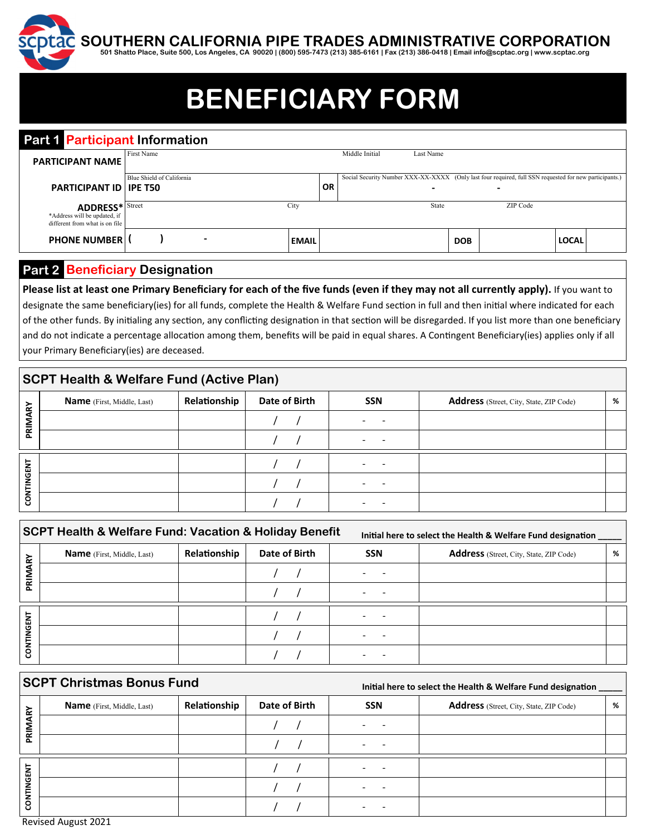**SOUTHERN CALIFORNIA PIPE TRADES ADMINISTRATIVE CORPORATION** 

**501 Shatto Place, Suite 500, Los Angeles, CA 90020 | (800) 595-7473 (213) 385-6161 | Fax (213) 386-0418 | Email info@scptac.org | www.scptac.org** 

# **BENEFICIARY FORM**

| <b>Part Participant Information</b>                                                      |                           |                          |              |    |                |           |            |                                                                                                                                    |              |  |
|------------------------------------------------------------------------------------------|---------------------------|--------------------------|--------------|----|----------------|-----------|------------|------------------------------------------------------------------------------------------------------------------------------------|--------------|--|
| <b>PARTICIPANT NAME</b>                                                                  | First Name                |                          |              |    | Middle Initial | Last Name |            |                                                                                                                                    |              |  |
| <b>PARTICIPANT ID IPE T50</b>                                                            | Blue Shield of California |                          |              | OR |                | -         |            | Social Security Number XXX-XX-XXXX (Only last four required, full SSN requested for new participants.)<br>$\overline{\phantom{0}}$ |              |  |
| <b>ADDRESS*</b> Street<br>*Address will be updated, if<br>different from what is on file |                           |                          | City         |    |                | State     |            | ZIP Code                                                                                                                           |              |  |
| <b>PHONE NUMBERI</b>                                                                     |                           | $\overline{\phantom{0}}$ | <b>EMAIL</b> |    |                |           | <b>DOB</b> |                                                                                                                                    | <b>LOCAL</b> |  |
|                                                                                          |                           |                          |              |    |                |           |            |                                                                                                                                    |              |  |

## **Part 2 Beneficiary Designation**

Please list at least one Primary Beneficiary for each of the five funds (even if they may not all currently apply). If you want to designate the same beneficiary(ies) for all funds, complete the Health & Welfare Fund section in full and then initial where indicated for each of the other funds. By initialing any section, any conflicting designation in that section will be disregarded. If you list more than one beneficiary and do not indicate a percentage allocation among them, benefits will be paid in equal shares. A Contingent Beneficiary(ies) applies only if all your Primary Beneficiary(ies) are deceased.

## **SCPT Health & Welfare Fund (Active Plan)**

| ⋧                 | <b>Name</b> (First, Middle, Last) | Relationship | Date of Birth | SSN | Address (Street, City, State, ZIP Code) | % |
|-------------------|-----------------------------------|--------------|---------------|-----|-----------------------------------------|---|
|                   |                                   |              |               | -   |                                         |   |
| 혽                 |                                   |              |               |     |                                         |   |
|                   |                                   |              |               |     |                                         |   |
| <b>CONTINGENT</b> |                                   |              |               |     |                                         |   |
|                   |                                   |              |               |     |                                         |   |

|             | <b>SCPT Health &amp; Welfare Fund: Vacation &amp; Holiday Benefit</b> |              | Initial here to select the Health & Welfare Fund designation |            |                                         |   |
|-------------|-----------------------------------------------------------------------|--------------|--------------------------------------------------------------|------------|-----------------------------------------|---|
| ⋧<br>离<br>គ | <b>Name</b> (First, Middle, Last)                                     | Relationship | Date of Birth                                                | <b>SSN</b> | Address (Street, City, State, ZIP Code) | % |
|             |                                                                       |              |                                                              |            |                                         |   |
|             |                                                                       |              |                                                              |            |                                         |   |
|             |                                                                       |              |                                                              |            |                                         |   |
| CONTINGENT  |                                                                       |              |                                                              |            |                                         |   |
|             |                                                                       |              |                                                              |            |                                         |   |

### **SCPT Christmas Bonus Fund**

 **Initial here to select the Health & Welfare Fund designation** 

| ⋧      | <b>Name</b> (First, Middle, Last) | Relationship | Date of Birth | <b>SSN</b>               | <b>Address</b> (Street, City, State, ZIP Code) | % |
|--------|-----------------------------------|--------------|---------------|--------------------------|------------------------------------------------|---|
| ◢<br>ᅙ |                                   |              |               | -                        |                                                |   |
| ௳      |                                   |              |               |                          |                                                |   |
| INGENT |                                   |              |               |                          |                                                |   |
|        |                                   |              |               | $\overline{\phantom{0}}$ |                                                |   |
| CONT   |                                   |              |               |                          |                                                |   |